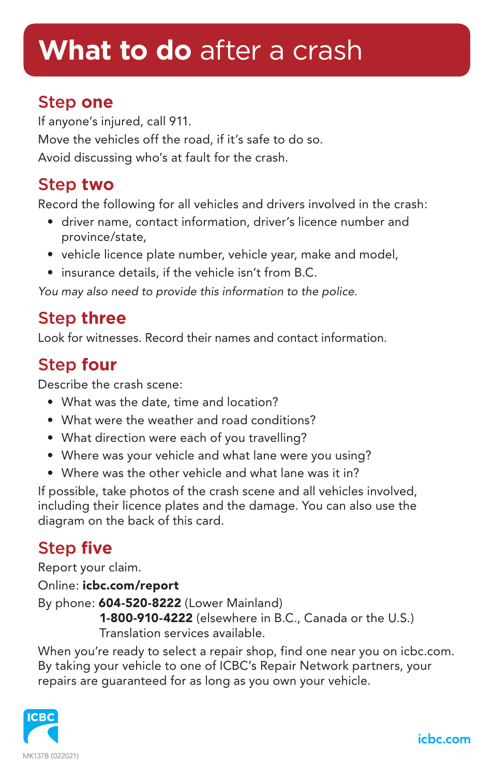## **What to do** after a crash

#### Step **one**

If anyone's injured, call 911. Move the vehicles off the road, if it's safe to do so. Avoid discussing who's at fault for the crash.

#### Step **two**

Record the following for all vehicles and drivers involved in the crash:

- driver name, contact information, driver's licence number and province/state,
- vehicle licence plate number, vehicle year, make and model,
- insurance details, if the vehicle isn't from B.C.

*You may also need to provide this information to the police.*

#### Step **three**

Look for witnesses. Record their names and contact information.

#### Step **four**

Describe the crash scene:

- What was the date, time and location?
- What were the weather and road conditions?
- What direction were each of you travelling?
- Where was your vehicle and what lane were you using?
- Where was the other vehicle and what lane was it in?

If possible, take photos of the crash scene and all vehicles involved, including their licence plates and the damage. You can also use the diagram on the back of this card.

### Step **five**

Report your claim. Online: icbc.com/report By phone: 604-520-8222 (Lower Mainland) 1-800-910-4222 (elsewhere in B.C., Canada or the U.S.) Translation services available.

When you're ready to select a repair shop, find one near you on icbc.com. By taking your vehicle to one of ICBC's Repair Network partners, your repairs are guaranteed for as long as you own your vehicle.



icbc.com